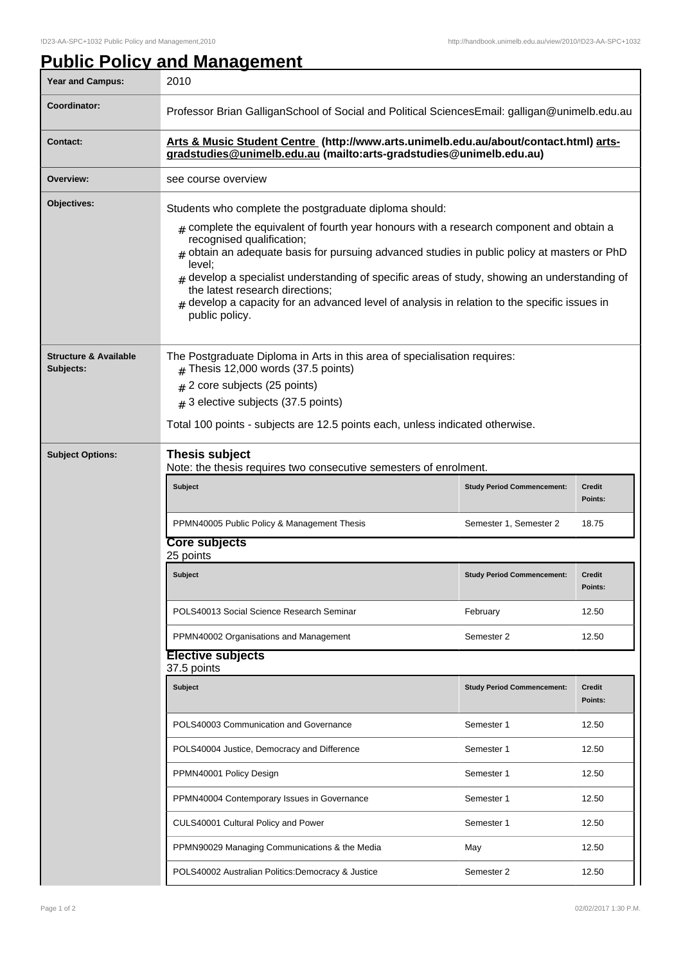**Public Policy and Management**

## Year and Campus: 2010 **Coordinator:** Professor Brian GalliganSchool of Social and Political SciencesEmail: galligan@unimelb.edu.au **Contact: Arts & Music Student Centre (http://www.arts.unimelb.edu.au/about/contact.html) artsgradstudies@unimelb.edu.au (mailto:arts-gradstudies@unimelb.edu.au) Overview:** see course overview **Objectives:** Students who complete the postgraduate diploma should:  ${}_{\#}$  complete the equivalent of fourth year honours with a research component and obtain a recognised qualification;  $_{\rm \#}$  obtain an adequate basis for pursuing advanced studies in public policy at masters or PhD level;  $_{\rm \#}$  develop a specialist understanding of specific areas of study, showing an understanding of the latest research directions; # develop a capacity for an advanced level of analysis in relation to the specific issues in public policy. **Structure & Available Subjects:** The Postgraduate Diploma in Arts in this area of specialisation requires:  $#$  Thesis 12,000 words (37.5 points)  $_{\rm \#}$  2 core subjects (25 points)  $_{\rm \#}$  3 elective subjects (37.5 points) Total 100 points - subjects are 12.5 points each, unless indicated otherwise. **Subject Options: Thesis subject** Note: the thesis requires two consecutive semesters of enrolment. **Subject Study Period Commencement: Credit Points:** PPMN40005 Public Policy & Management Thesis Semester 1, Semester 2 18.75 **Core subjects** 25 points **Subject Study Period Commencement: Credit Points:** POLS40013 Social Science Research Seminar February February 12.50 PPMN40002 Organisations and Management Semester 2 12.50 **Elective subjects** 37.5 points **Subject Study Period Commencement: Credit Points:** POLS40003 Communication and Governance The Semester 1 12.50 POLS40004 Justice, Democracy and Difference Semester 1 12.50 PPMN40001 Policy Design Semester 1 12.50 PPMN40004 Contemporary Issues in Governance Semester 1 12.50 CULS40001 Cultural Policy and Power Semester 1 12.50 PPMN90029 Managing Communications & the Media May Nay 12.50 POLS40002 Australian Politics:Democracy & Justice Semester 2 | Semester 2 | 12.50